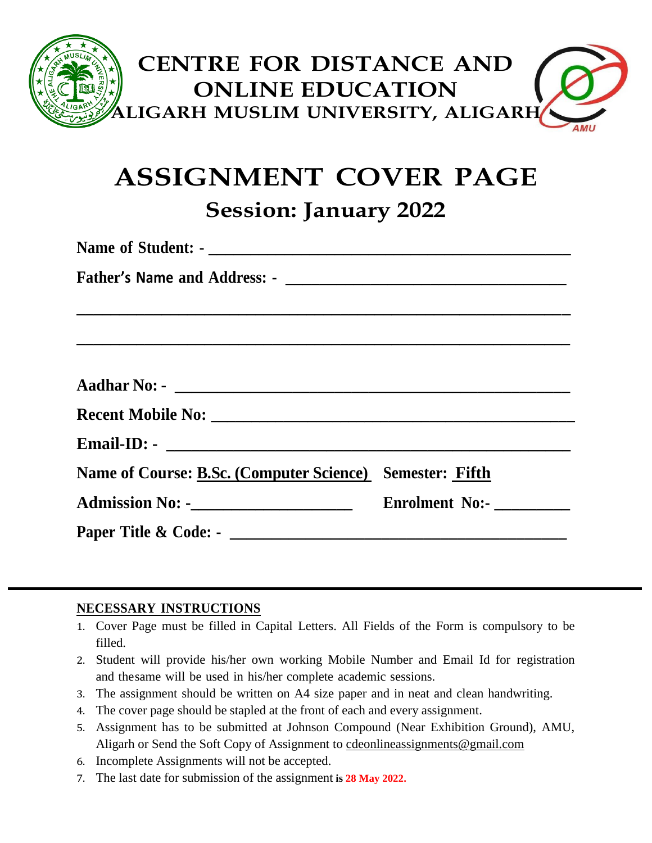

# **ASSIGNMENT COVER PAGE Session: January 2022**

**Name of Student: - \_\_\_\_\_\_\_\_\_\_\_\_\_\_\_\_\_\_\_\_\_\_\_\_\_\_\_\_\_\_\_\_\_\_\_\_\_\_\_\_\_\_\_ Father's Name and Address: - \_\_\_\_\_\_\_\_\_\_\_\_\_\_\_\_\_\_\_\_\_\_\_\_\_\_\_\_\_\_\_\_\_ \_\_\_\_\_\_\_\_\_\_\_\_\_\_\_\_\_\_\_\_\_\_\_\_\_\_\_\_\_\_\_\_\_\_\_\_\_\_\_\_\_\_\_\_\_\_\_\_\_\_\_\_\_\_\_\_\_\_ \_\_\_\_\_\_\_\_\_\_\_\_\_\_\_\_\_\_\_\_\_\_\_\_\_\_\_\_\_\_\_\_\_\_\_\_\_\_\_\_\_\_\_\_\_\_\_\_\_\_\_\_\_\_\_\_\_\_ Aadhar No: - \_\_\_\_\_\_\_\_\_\_\_\_\_\_\_\_\_\_\_\_\_\_\_\_\_\_\_\_\_\_\_\_\_\_\_\_\_\_\_\_\_\_\_\_\_\_\_ Recent Mobile No: \_\_\_\_\_\_\_\_\_\_\_\_\_\_\_\_\_\_\_\_\_\_\_\_\_\_\_\_\_\_\_\_\_\_\_\_\_\_\_\_\_\_\_\_\_ Email-ID: - \_\_\_\_\_\_\_\_\_\_\_\_\_\_\_\_\_\_\_\_\_\_\_\_\_\_\_\_\_\_\_\_\_\_\_\_\_\_\_\_\_\_\_\_\_\_\_\_ Name of Course: B.Sc. (Computer Science) Semester: Fifth Admission No: -\_\_\_\_\_\_\_\_\_\_\_\_\_\_\_\_\_\_\_\_ Enrolment No:- \_\_\_\_\_\_\_\_\_ Paper Title & Code: - \_\_\_\_\_\_\_\_\_\_\_\_\_\_\_\_\_\_\_\_\_\_\_\_\_\_\_\_\_\_\_\_\_\_\_\_\_\_\_\_**

### **NECESSARY INSTRUCTIONS**

- 1. Cover Page must be filled in Capital Letters. All Fields of the Form is compulsory to be filled.
- 2. Student will provide his/her own working Mobile Number and Email Id for registration and thesame will be used in his/her complete academic sessions.
- 3. The assignment should be written on A4 size paper and in neat and clean handwriting.
- 4. The cover page should be stapled at the front of each and every assignment.
- 5. Assignment has to be submitted at Johnson Compound (Near Exhibition Ground), AMU, Aligarh or Send the Soft Copy of Assignment to [cdeonlineassignments@gmail.com](mailto:cdeonlineassignments@gmail.com)
- 6. Incomplete Assignments will not be accepted.
- 7. The last date for submission of the assignment **is 28 May 2022.**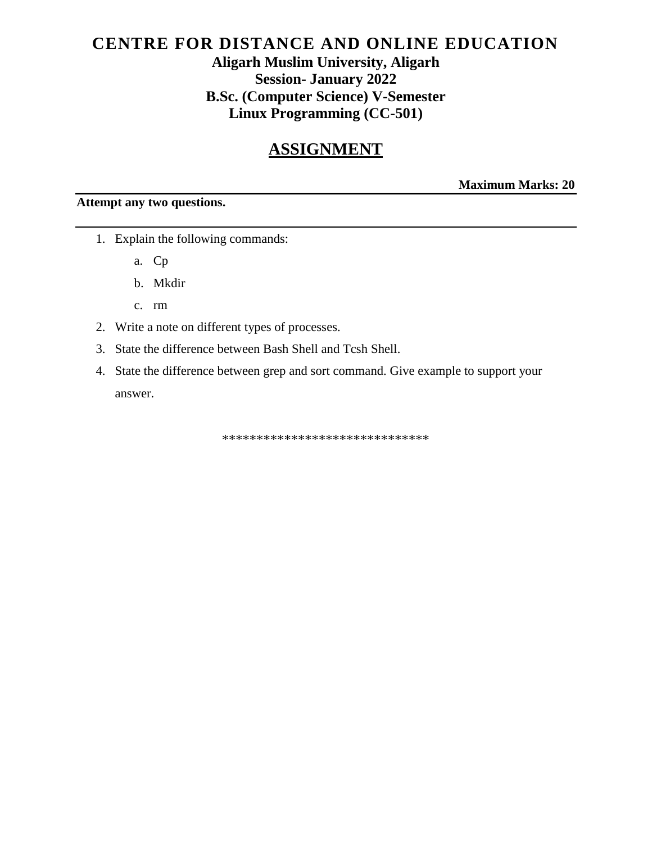# CENTRE FOR DISTANCE AND ONLINE EDUCATION **Aligarh Muslim University, Aligarh Session- January 2022 B.Sc. (Computer Science) V-Semester Linux Programming (CC-501)**

# **ASSIGNMENT**

**Maximum Marks: 20** 

### Attempt any two questions.

- 1. Explain the following commands:
	- a. Cp
	- b. Mkdir
	- c. rm
- 2. Write a note on different types of processes.
- 3. State the difference between Bash Shell and Tcsh Shell.
- 4. State the difference between grep and sort command. Give example to support your answer.

\*\*\*\*\*\*\*\*\*\*\*\*\*\*\*\*\*\*\*\*\*\*\*\*\*\*\*\*\*\*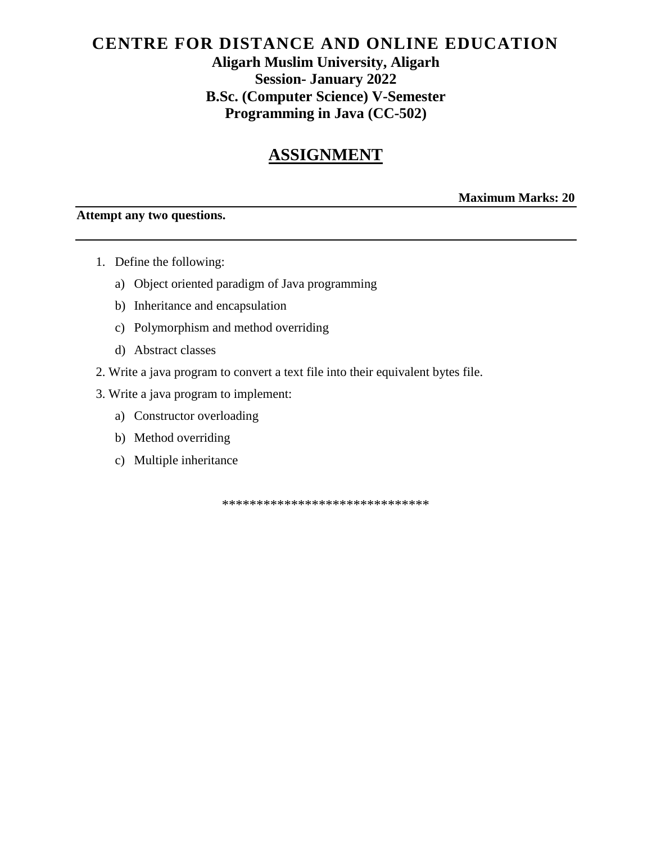# **CENTRE FOR DISTANCE AND ONLINE EDUCATION Aligarh Muslim University, Aligarh Session- January 2022 B.Sc. (Computer Science) V-Semester Programming in Java (CC-502)**

# **ASSIGNMENT**

### **Maximum Marks: 20**

#### **Attempt any two questions.**

- 1. Define the following:
	- a) Object oriented paradigm of Java programming
	- b) Inheritance and encapsulation
	- c) Polymorphism and method overriding
	- d) Abstract classes
- 2. Write a java program to convert a text file into their equivalent bytes file.
- 3. Write a java program to implement:
	- a) Constructor overloading
	- b) Method overriding
	- c) Multiple inheritance

\*\*\*\*\*\*\*\*\*\*\*\*\*\*\*\*\*\*\*\*\*\*\*\*\*\*\*\*\*\*